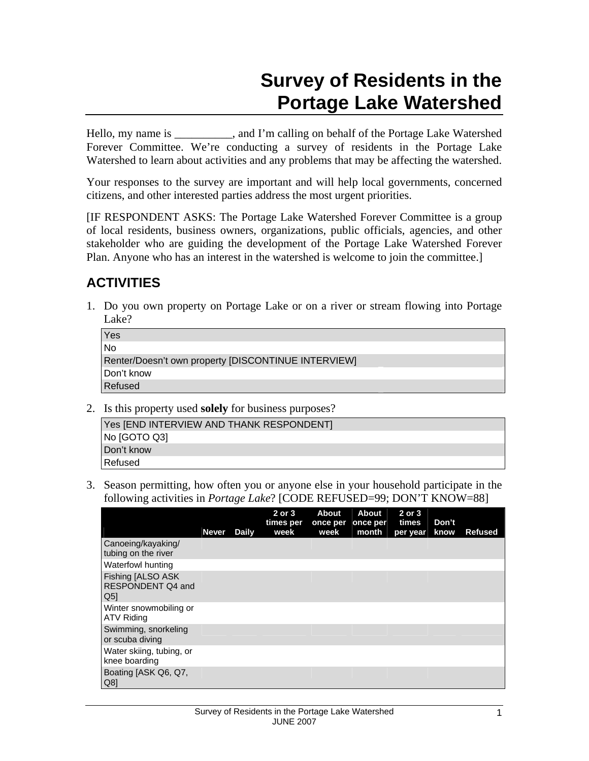# **Survey of Residents in the Portage Lake Watershed**

Hello, my name is \_\_\_\_\_\_\_\_\_\_, and I'm calling on behalf of the Portage Lake Watershed Forever Committee. We're conducting a survey of residents in the Portage Lake Watershed to learn about activities and any problems that may be affecting the watershed.

Your responses to the survey are important and will help local governments, concerned citizens, and other interested parties address the most urgent priorities.

[IF RESPONDENT ASKS: The Portage Lake Watershed Forever Committee is a group of local residents, business owners, organizations, public officials, agencies, and other stakeholder who are guiding the development of the Portage Lake Watershed Forever Plan. Anyone who has an interest in the watershed is welcome to join the committee.]

# **ACTIVITIES**

1. Do you own property on Portage Lake or on a river or stream flowing into Portage Lake?

| Yes                                                 |
|-----------------------------------------------------|
| No                                                  |
| Renter/Doesn't own property [DISCONTINUE INTERVIEW] |
| Don't know                                          |
| <b>Refused</b>                                      |

2. Is this property used **solely** for business purposes?

| Yes [END INTERVIEW AND THANK RESPONDENT] |
|------------------------------------------|
| No [GOTO Q3]                             |
| Don't know                               |
| l Refused.                               |

3. Season permitting, how often you or anyone else in your household participate in the following activities in *Portage Lake*? [CODE REFUSED=99; DON'T KNOW=88]

|                                                                 | <b>Never</b> | Daily | $2$ or $3$<br>times per<br>week | <b>About</b><br>once per<br>week | <b>About</b><br>once per<br>month | 2 or 3<br>times<br>per year | Don't<br>know | <b>Refused</b> |
|-----------------------------------------------------------------|--------------|-------|---------------------------------|----------------------------------|-----------------------------------|-----------------------------|---------------|----------------|
| Canoeing/kayaking/<br>tubing on the river                       |              |       |                                 |                                  |                                   |                             |               |                |
| Waterfowl hunting                                               |              |       |                                 |                                  |                                   |                             |               |                |
| <b>Fishing [ALSO ASK</b><br>RESPONDENT Q4 and<br>Q <sub>5</sub> |              |       |                                 |                                  |                                   |                             |               |                |
| Winter snowmobiling or<br><b>ATV Riding</b>                     |              |       |                                 |                                  |                                   |                             |               |                |
| Swimming, snorkeling<br>or scuba diving                         |              |       |                                 |                                  |                                   |                             |               |                |
| Water skiing, tubing, or<br>knee boarding                       |              |       |                                 |                                  |                                   |                             |               |                |
| Boating [ASK Q6, Q7,<br>Q8                                      |              |       |                                 |                                  |                                   |                             |               |                |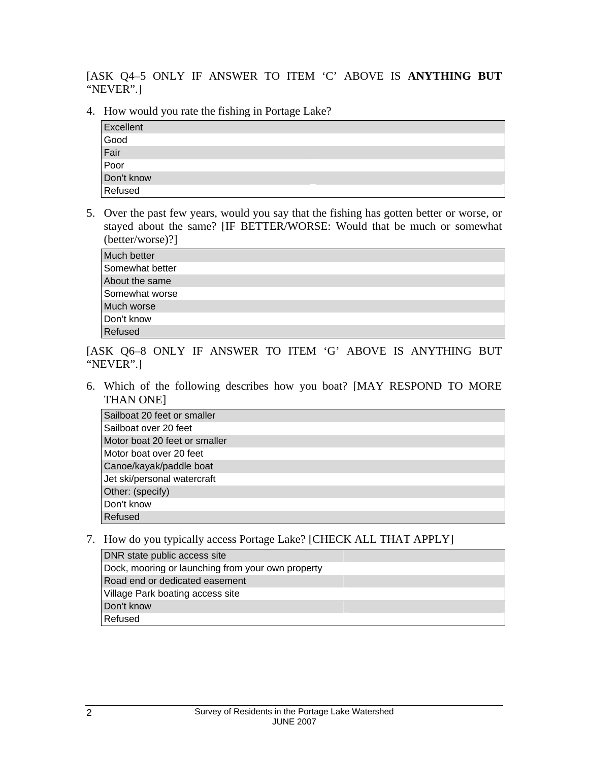[ASK Q4–5 ONLY IF ANSWER TO ITEM 'C' ABOVE IS **ANYTHING BUT**  "NEVER".]

4. How would you rate the fishing in Portage Lake?

| Excellent    |  |
|--------------|--|
| Good         |  |
| Fair<br>Poor |  |
|              |  |
| Don't know   |  |
| Refused      |  |

5. Over the past few years, would you say that the fishing has gotten better or worse, or stayed about the same? [IF BETTER/WORSE: Would that be much or somewhat (better/worse)?]

| Much better     |  |
|-----------------|--|
| Somewhat better |  |
| About the same  |  |
| Somewhat worse  |  |
| Much worse      |  |
| Don't know      |  |
| Refused         |  |

[ASK Q6–8 ONLY IF ANSWER TO ITEM 'G' ABOVE IS ANYTHING BUT "NEVER".]

6. Which of the following describes how you boat? [MAY RESPOND TO MORE THAN ONE]

| Sailboat 20 feet or smaller   |  |
|-------------------------------|--|
| Sailboat over 20 feet         |  |
| Motor boat 20 feet or smaller |  |
| Motor boat over 20 feet       |  |
| Canoe/kayak/paddle boat       |  |
| Jet ski/personal watercraft   |  |
| Other: (specify)              |  |
| Don't know                    |  |
| Refused                       |  |

7. How do you typically access Portage Lake? [CHECK ALL THAT APPLY]

| DNR state public access site                      |
|---------------------------------------------------|
| Dock, mooring or launching from your own property |
| Road end or dedicated easement                    |
| Village Park boating access site                  |
| Don't know                                        |
| Refused                                           |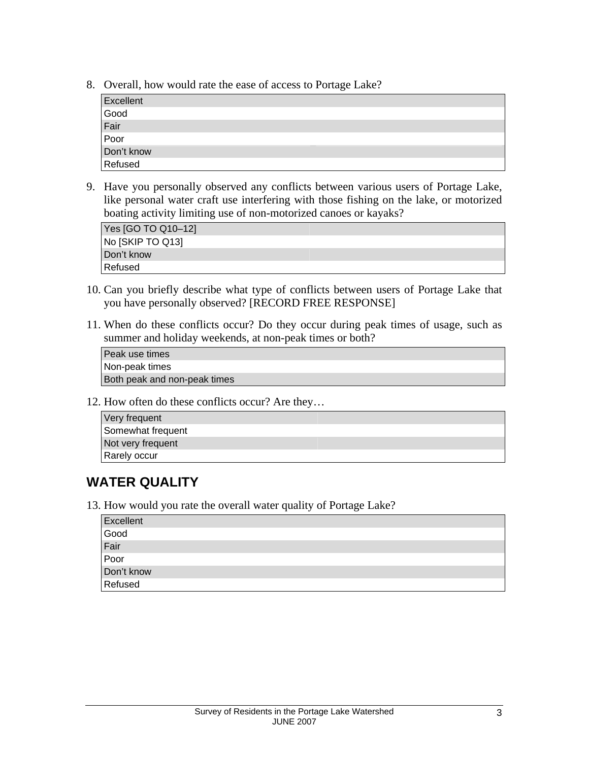8. Overall, how would rate the ease of access to Portage Lake?

| Excellent                  |  |
|----------------------------|--|
| Good                       |  |
| Fair<br>Poor<br>Don't know |  |
|                            |  |
|                            |  |
| Refused                    |  |

9. Have you personally observed any conflicts between various users of Portage Lake, like personal water craft use interfering with those fishing on the lake, or motorized boating activity limiting use of non-motorized canoes or kayaks?

| Yes [GO TO Q10-12] |  |
|--------------------|--|
| No [SKIP TO Q13]   |  |
| Don't know         |  |
| Refused            |  |

- 10. Can you briefly describe what type of conflicts between users of Portage Lake that you have personally observed? [RECORD FREE RESPONSE]
- 11. When do these conflicts occur? Do they occur during peak times of usage, such as summer and holiday weekends, at non-peak times or both?

Peak use times Non-peak times Both peak and non-peak times

12. How often do these conflicts occur? Are they…

| Very frequent     |  |
|-------------------|--|
| Somewhat frequent |  |
| Not very frequent |  |
| Rarely occur      |  |

### **WATER QUALITY**

13. How would you rate the overall water quality of Portage Lake?

| Excellent            |  |
|----------------------|--|
|                      |  |
|                      |  |
| Good<br>Fair<br>Poor |  |
| Don't know           |  |
| Refused              |  |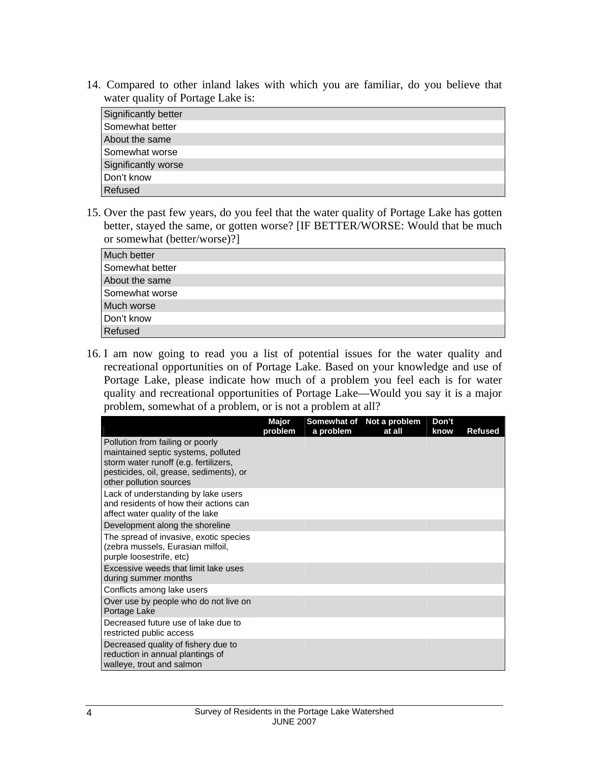14. Compared to other inland lakes with which you are familiar, do you believe that water quality of Portage Lake is:

| Significantly better |  |
|----------------------|--|
| Somewhat better      |  |
| About the same       |  |
| Somewhat worse       |  |
| Significantly worse  |  |
| Don't know           |  |
| Refused              |  |

15. Over the past few years, do you feel that the water quality of Portage Lake has gotten better, stayed the same, or gotten worse? [IF BETTER/WORSE: Would that be much or somewhat (better/worse)?]

| Much better     |  |
|-----------------|--|
| Somewhat better |  |
| About the same  |  |
| Somewhat worse  |  |
| Much worse      |  |
| Don't know      |  |
| Refused         |  |

16. I am now going to read you a list of potential issues for the water quality and recreational opportunities on of Portage Lake. Based on your knowledge and use of Portage Lake, please indicate how much of a problem you feel each is for water quality and recreational opportunities of Portage Lake—Would you say it is a major problem, somewhat of a problem, or is not a problem at all?

|                                                                                                                                                                                        | Major<br>problem | Somewhat of<br>a problem | Not a problem<br>at all | Don't<br>know | Refused |
|----------------------------------------------------------------------------------------------------------------------------------------------------------------------------------------|------------------|--------------------------|-------------------------|---------------|---------|
| Pollution from failing or poorly<br>maintained septic systems, polluted<br>storm water runoff (e.g. fertilizers,<br>pesticides, oil, grease, sediments), or<br>other pollution sources |                  |                          |                         |               |         |
| Lack of understanding by lake users<br>and residents of how their actions can<br>affect water quality of the lake                                                                      |                  |                          |                         |               |         |
| Development along the shoreline                                                                                                                                                        |                  |                          |                         |               |         |
| The spread of invasive, exotic species<br>(zebra mussels, Eurasian milfoil,<br>purple loosestrife, etc)                                                                                |                  |                          |                         |               |         |
| Excessive weeds that limit lake uses<br>during summer months                                                                                                                           |                  |                          |                         |               |         |
| Conflicts among lake users                                                                                                                                                             |                  |                          |                         |               |         |
| Over use by people who do not live on<br>Portage Lake                                                                                                                                  |                  |                          |                         |               |         |
| Decreased future use of lake due to<br>restricted public access                                                                                                                        |                  |                          |                         |               |         |
| Decreased quality of fishery due to<br>reduction in annual plantings of<br>walleye, trout and salmon                                                                                   |                  |                          |                         |               |         |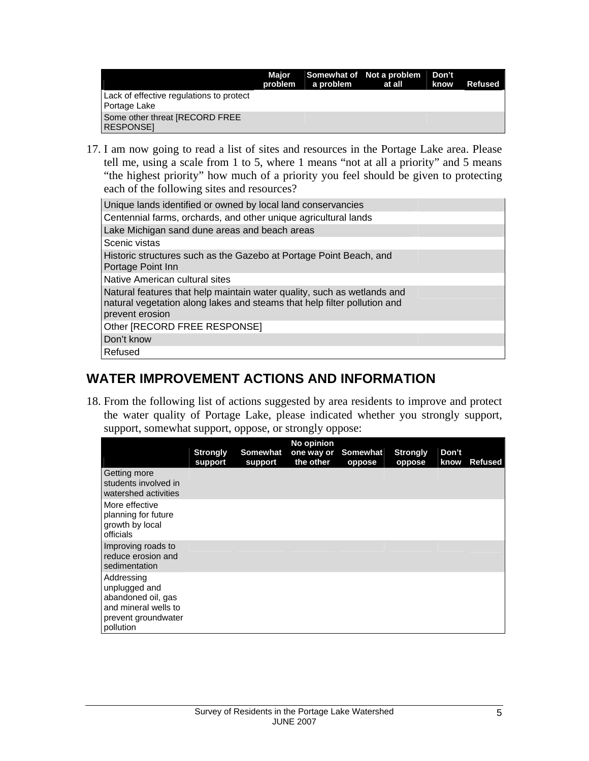|                                                          | Maior | problem a problem | Somewhat of Not a problem Don't<br>at all | know | <b>Refused</b> |
|----------------------------------------------------------|-------|-------------------|-------------------------------------------|------|----------------|
| Lack of effective regulations to protect<br>Portage Lake |       |                   |                                           |      |                |
| Some other threat [RECORD FREE<br><b>RESPONSEI</b>       |       |                   |                                           |      |                |

17. I am now going to read a list of sites and resources in the Portage Lake area. Please tell me, using a scale from 1 to 5, where 1 means "not at all a priority" and 5 means "the highest priority" how much of a priority you feel should be given to protecting each of the following sites and resources?

| Unique lands identified or owned by local land conservancies                                                                                                           |
|------------------------------------------------------------------------------------------------------------------------------------------------------------------------|
| Centennial farms, orchards, and other unique agricultural lands                                                                                                        |
| Lake Michigan sand dune areas and beach areas                                                                                                                          |
| Scenic vistas                                                                                                                                                          |
| Historic structures such as the Gazebo at Portage Point Beach, and<br>Portage Point Inn                                                                                |
| l Native American cultural sites                                                                                                                                       |
| Natural features that help maintain water quality, such as wetlands and<br>natural vegetation along lakes and steams that help filter pollution and<br>prevent erosion |
| Other [RECORD FREE RESPONSE]                                                                                                                                           |
| Don't know                                                                                                                                                             |
| Refused                                                                                                                                                                |

### **WATER IMPROVEMENT ACTIONS AND INFORMATION**

18. From the following list of actions suggested by area residents to improve and protect the water quality of Portage Lake, please indicated whether you strongly support, support, somewhat support, oppose, or strongly oppose:

|                                                                                                               | <b>Strongly</b><br>support | Somewhat<br>support | No opinion<br>one way or<br>the other | Somewhat<br>oppose | <b>Strongly</b><br>oppose | Don't<br>know | <b>Refused</b> |
|---------------------------------------------------------------------------------------------------------------|----------------------------|---------------------|---------------------------------------|--------------------|---------------------------|---------------|----------------|
| Getting more<br>students involved in<br>watershed activities                                                  |                            |                     |                                       |                    |                           |               |                |
| More effective<br>planning for future<br>growth by local<br>officials                                         |                            |                     |                                       |                    |                           |               |                |
| Improving roads to<br>reduce erosion and<br>sedimentation                                                     |                            |                     |                                       |                    |                           |               |                |
| Addressing<br>unplugged and<br>abandoned oil, gas<br>and mineral wells to<br>prevent groundwater<br>pollution |                            |                     |                                       |                    |                           |               |                |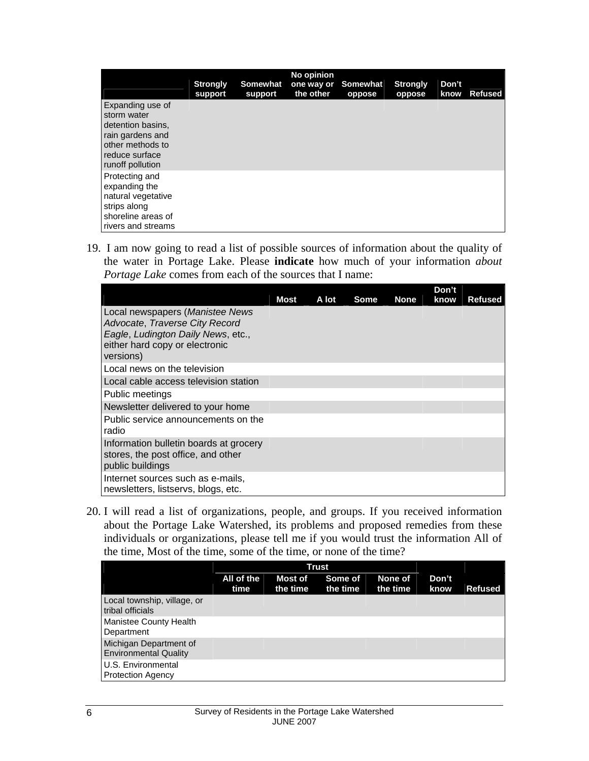|                                                                                                                                    | <b>Strongly</b><br>support | <b>Somewhat</b><br>support | No opinion<br>one way or<br>the other | Somewhat<br>oppose | <b>Strongly</b><br>oppose | Don't<br>know | Refused |
|------------------------------------------------------------------------------------------------------------------------------------|----------------------------|----------------------------|---------------------------------------|--------------------|---------------------------|---------------|---------|
| Expanding use of<br>storm water<br>detention basins,<br>rain gardens and<br>other methods to<br>reduce surface<br>runoff pollution |                            |                            |                                       |                    |                           |               |         |
| Protecting and<br>expanding the<br>natural vegetative<br>strips along<br>shoreline areas of<br>rivers and streams                  |                            |                            |                                       |                    |                           |               |         |

19. I am now going to read a list of possible sources of information about the quality of the water in Portage Lake. Please **indicate** how much of your information *about Portage Lake* comes from each of the sources that I name:

|                                        |      |       |             |             | Don't |                |
|----------------------------------------|------|-------|-------------|-------------|-------|----------------|
|                                        | Most | A lot | <b>Some</b> | <b>None</b> | know  | <b>Refused</b> |
| Local newspapers (Manistee News        |      |       |             |             |       |                |
| Advocate, Traverse City Record         |      |       |             |             |       |                |
| Eagle, Ludington Daily News, etc.,     |      |       |             |             |       |                |
| either hard copy or electronic         |      |       |             |             |       |                |
| versions)                              |      |       |             |             |       |                |
| Local news on the television           |      |       |             |             |       |                |
| Local cable access television station  |      |       |             |             |       |                |
| Public meetings                        |      |       |             |             |       |                |
| Newsletter delivered to your home      |      |       |             |             |       |                |
| Public service announcements on the    |      |       |             |             |       |                |
| radio                                  |      |       |             |             |       |                |
| Information bulletin boards at grocery |      |       |             |             |       |                |
| stores, the post office, and other     |      |       |             |             |       |                |
| public buildings                       |      |       |             |             |       |                |
| Internet sources such as e-mails,      |      |       |             |             |       |                |
| newsletters, listservs, blogs, etc.    |      |       |             |             |       |                |

20. I will read a list of organizations, people, and groups. If you received information about the Portage Lake Watershed, its problems and proposed remedies from these individuals or organizations, please tell me if you would trust the information All of the time, Most of the time, some of the time, or none of the time?

|                                                        |                    |                            | <b>Trust</b>        |                     |               |                |
|--------------------------------------------------------|--------------------|----------------------------|---------------------|---------------------|---------------|----------------|
|                                                        | All of the<br>time | <b>Most of</b><br>the time | Some of<br>the time | None of<br>the time | Don't<br>know | <b>Refused</b> |
| Local township, village, or<br>tribal officials        |                    |                            |                     |                     |               |                |
| Manistee County Health<br>Department                   |                    |                            |                     |                     |               |                |
| Michigan Department of<br><b>Environmental Quality</b> |                    |                            |                     |                     |               |                |
| U.S. Environmental<br><b>Protection Agency</b>         |                    |                            |                     |                     |               |                |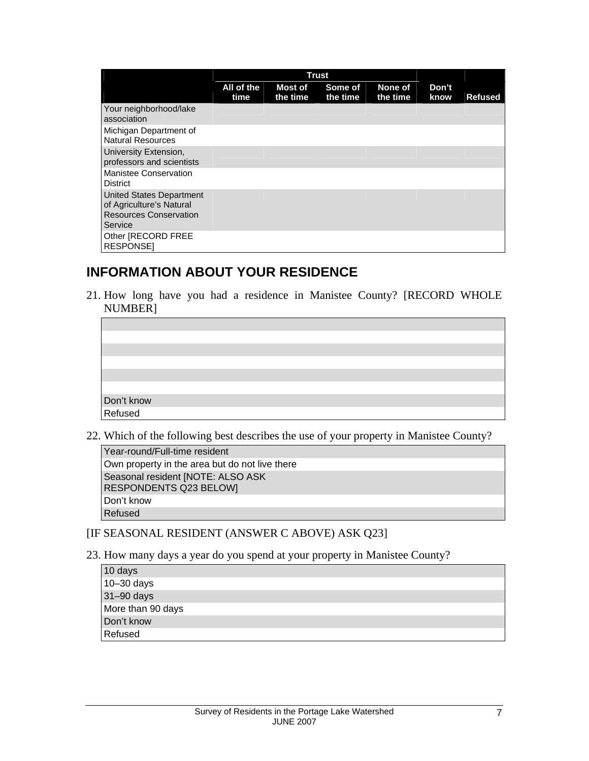|                                                                                                  | <b>Trust</b>       |                            |                     |                     |               |                |
|--------------------------------------------------------------------------------------------------|--------------------|----------------------------|---------------------|---------------------|---------------|----------------|
|                                                                                                  | All of the<br>time | <b>Most of</b><br>the time | Some of<br>the time | None of<br>the time | Don't<br>know | <b>Refused</b> |
| Your neighborhood/lake<br>association                                                            |                    |                            |                     |                     |               |                |
| Michigan Department of<br><b>Natural Resources</b>                                               |                    |                            |                     |                     |               |                |
| University Extension,<br>professors and scientists                                               |                    |                            |                     |                     |               |                |
| Manistee Conservation<br><b>District</b>                                                         |                    |                            |                     |                     |               |                |
| United States Department<br>of Agriculture's Natural<br><b>Resources Conservation</b><br>Service |                    |                            |                     |                     |               |                |
| Other [RECORD FREE<br><b>RESPONSEI</b>                                                           |                    |                            |                     |                     |               |                |

### **INFORMATION ABOUT YOUR RESIDENCE**

21. How long have you had a residence in Manistee County? [RECORD WHOLE NUMBER]

| Don't know<br>Refused |  |
|-----------------------|--|

22. Which of the following best describes the use of your property in Manistee County?

| Year-round/Full-time resident                               |  |
|-------------------------------------------------------------|--|
| Own property in the area but do not live there              |  |
| Seasonal resident [NOTE: ALSO ASK<br>RESPONDENTS Q23 BELOW] |  |
| Don't know                                                  |  |
| Refused                                                     |  |

#### [IF SEASONAL RESIDENT (ANSWER C ABOVE) ASK Q23]

23. How many days a year do you spend at your property in Manistee County?

| 10 days           |  |
|-------------------|--|
| $10 - 30$ days    |  |
| 31-90 days        |  |
| More than 90 days |  |
| Don't know        |  |
| Refused           |  |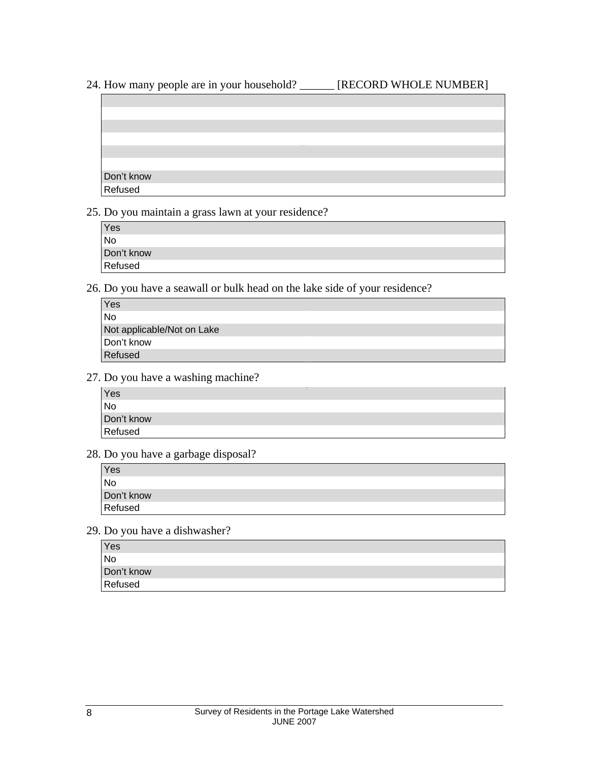- 24. How many people are in your household? \_\_\_\_\_\_ [RECORD WHOLE NUMBER]
- 



25. Do you maintain a grass lawn at your residence?

| Yes        |  |
|------------|--|
| l No       |  |
| Don't know |  |
| Refused    |  |

26. Do you have a seawall or bulk head on the lake side of your residence?

| Yes                        |  |
|----------------------------|--|
| No                         |  |
| Not applicable/Not on Lake |  |
| Don't know                 |  |
| Refused                    |  |

27. Do you have a washing machine?

| Yes        |  |
|------------|--|
| <b>No</b>  |  |
| Don't know |  |
| Refused    |  |

28. Do you have a garbage disposal?

| Yes            |  |
|----------------|--|
| N <sub>o</sub> |  |
| Don't know     |  |
| Refused        |  |

29. Do you have a dishwasher?

| Yes        |  |
|------------|--|
| No         |  |
| Don't know |  |
| Refused    |  |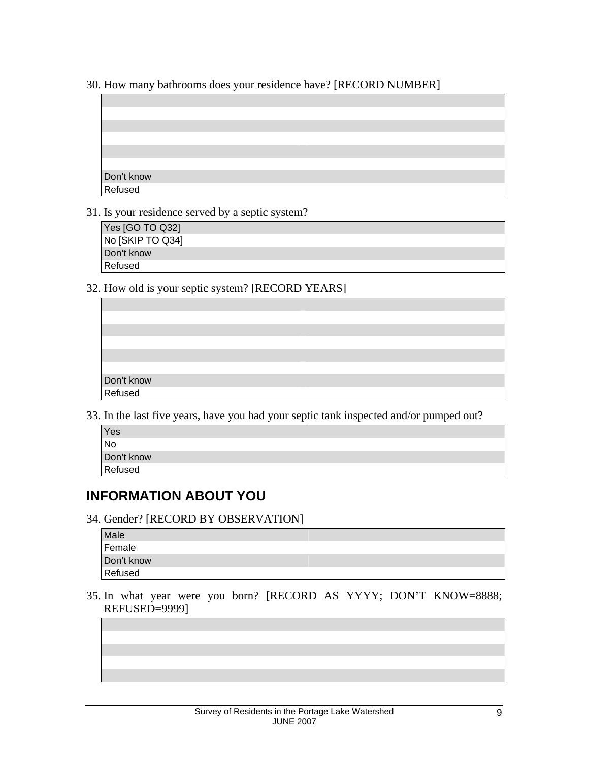30. How many bathrooms does your residence have? [RECORD NUMBER]

| Don't know<br>Refused |  |
|-----------------------|--|
|                       |  |
|                       |  |

31. Is your residence served by a septic system?

| Yes [GO TO Q32]  |
|------------------|
| No [SKIP TO Q34] |
| Don't know       |
| Refused          |

32. How old is your septic system? [RECORD YEARS]

| Don't know<br>Refused |  |
|-----------------------|--|
|                       |  |

33. In the last five years, have you had your septic tank inspected and/or pumped out?

| Yes        |  |
|------------|--|
| <b>No</b>  |  |
| Don't know |  |
| Refused    |  |
|            |  |

## **INFORMATION ABOUT YOU**

34. Gender? [RECORD BY OBSERVATION]

| Male       |  |
|------------|--|
| Female     |  |
| Don't know |  |
| Refused    |  |
|            |  |

35. In what year were you born? [RECORD AS YYYY; DON'T KNOW=8888; REFUSED=9999]